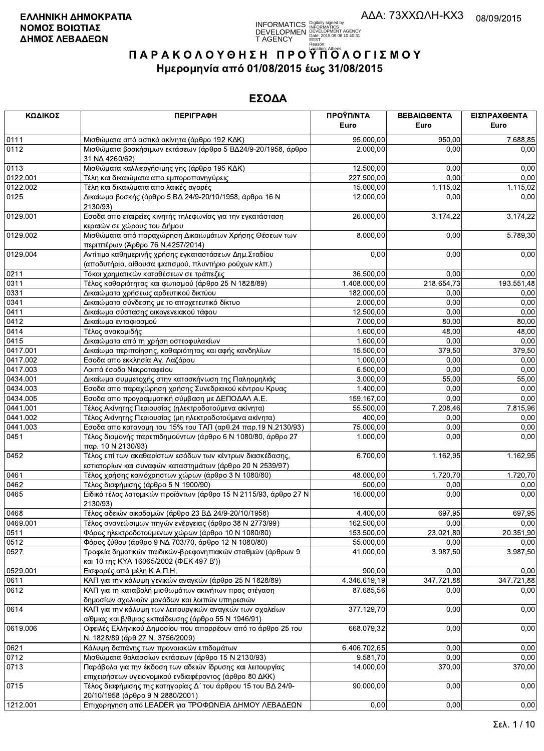**INFORMATICS** Digitally signed by<br>DEVELOPMEN DEVELOPMENT AGENCY<br>T AGENCY ERE: 2015.09.08 10:40:31

# ΠΑΡΑΚΟΛΟΥΘΗΣΗ ΠΡΟΥΠΌΛΟΓΙΣΜΟΥ Ημερομηνία από 01/08/2015 έως 31/08/2015

| ΚΩΔΙΚΟΣ  | <b>ПЕРІГРАФН</b>                                                                                                       | ΠΡΟΫΠ/ΝΤΑ<br>Euro       | ΒΕΒΑΙΩΘΕΝΤΑ<br>Euro | ΕΙΣΠΡΑΧΘΕΝΤΑ<br>Euro |
|----------|------------------------------------------------------------------------------------------------------------------------|-------------------------|---------------------|----------------------|
| 0111     | Μισθώματα από αστικά ακίνητα (άρθρο 192 ΚΔΚ)                                                                           | 95.000,00               | 950,00              | 7.688,85             |
| 0112     | Μισθώματα βοσκήσιμων εκτάσεων (άρθρο 5 ΒΔ24/9-20/1958, άρθρο<br>31 NA 4260/62)                                         | 2.000,00                | 0,00                | 0,00                 |
| 0113     | Μισθώματα καλλιεργήσιμης γης (άρθρο 195 ΚΔΚ)                                                                           | 12.500,00               | 0,00                | 0,00                 |
| 0122.001 | Τέλη και δικαιώματα απο εμποροπανηγύρεις                                                                               | $\overline{227.500,00}$ | 0,00                | 0,00                 |
| 0122.002 | Τέλη και δικαιώματα απο λαικές αγορές                                                                                  | 15.000,00               | 1.115,02            | 1.115,02             |
| 0125     | Δικαίωμα βοσκής (άρθρο 5 ΒΔ 24/9-20/10/1958, άρθρο 16 Ν<br>2130/93)                                                    | 12.000,00               | 0,00                | 0,00                 |
| 0129.001 | Εσοδα απο εταιρείες κινητής τηλεφωνίας για την εγκατάσταση<br>κεραιών σε χώρους του Δήμου                              | 26.000,00               | 3.174,22            | 3.174,22             |
| 0129.002 | Μισθώματα από παραχώρηση Δικαιωμάτων Χρήσης Θέσεων των<br>περιπτέρων (Άρθρο 76 Ν.4257/2014)                            | 8.000,00                | 0,00                | 5.789,30             |
| 0129.004 | Αντίτιμο καθημερινής χρήσης εγκαταστάσεων Δημ.Σταδίου<br>(αποδυτήρια, αίθουσα ιματισμού, πλυντήριο ρούχων κλπ.)        | 0,00                    | 0,00                | 0,00                 |
| 0211     | Τόκοι χρηματικών καταθέσεων σε τράπεζες                                                                                | 36.500,00               | 0,00                | 0,00                 |
| 0311     | Τέλος καθαριότητας και φωτισμού (άρθρο 25 Ν 1828/89)                                                                   | 1.408.000,00            | 218.654,73          | 193.551,48           |
| 0331     | Δικαιώματα χρήσεως αρδευτικού δικτύου                                                                                  | 182.000,00              | 0,00                | 0,00                 |
| 0341     | Δικαιώματα σύνδεσης με το αποχετευτικό δίκτυο                                                                          | 2.000,00                | 0,00                | 0,00                 |
| 0411     | Δικαίωμα σύστασης οικογενειακού τάφου                                                                                  | 12.500,00               | 0,00                | 0,00                 |
| 0412     | Δικαίωμα ενταφιασμού                                                                                                   | 7.000,00                | 80,00               | 80,00                |
| 0414     | Τέλος ανακομιδής                                                                                                       | 1.600,00                | 48,00               | 48,00                |
| 0415     | Δικαιώματα από τη χρήση οστεοφυλακίων                                                                                  | 1.600,00                | 0,00                | 0,00                 |
| 0417.001 | Δικαίωμα περιποίησης, καθαριότητας και αφής κανδηλίων                                                                  | 15.500,00               | 379,50              | 379,50               |
| 0417.002 | Εσοδα απο εκκλησία Αγ. Λαζάρου                                                                                         | 1.000,00                | 0,00                | 0,00                 |
| 0417.003 | Λοιπά έσοδα Νεκροταφείου                                                                                               | 6.500,00                | 0,00                | 0,00                 |
| 0434.001 | Δικαίωμα συμμετοχής στην κατασκήνωση της Παληομηλιάς                                                                   | 3.000,00                | 55,00               | 55,00                |
| 0434.003 | Εσοδα απο παραχώρηση χρήσης Συνεδριακού κέντρου Κρυας                                                                  | 1.400,00                | 0,00                | 0,00                 |
| 0434.005 | Εσοδα απο προγραμματική σύμβαση με ΔΕΠΟΔΑΛ Α.Ε.                                                                        | 159.167,00              | 0,00                | 0,00                 |
| 0441.001 | Τέλος Ακίνητης Περιουσίας (ηλεκτροδοτούμενα ακίνητα)                                                                   | 55.500,00               | 7.208,46            | 7.815,96             |
| 0441.002 | Τέλος Ακίνητης Περιουσίας (μη ηλεκτροδοτούμενα ακίνητα)                                                                | 400,00                  | 0,00                | 0,00                 |
| 0441.003 | Εσοδα απο κατανομη του 15% του ΤΑΠ (αρθ.24 παρ.19 Ν.2130/93)                                                           | 75.000,00               | 0,00                | 0,00                 |
| 0451     | Τέλος διαμονής παρεπιδημούντων (άρθρο 6 Ν 1080/80, άρθρο 27<br>παρ. 10 Ν 2130/93)                                      | 1.000,00                | 0,00                | 0,00                 |
| 0452     | Τέλος επί των ακαθαρίστων εσόδων των κέντρων διασκέδασης,<br>εστιατορίων και συναφών καταστημάτων (άρθρο 20 Ν 2539/97) | 6.700,00                | 1.162,95            | 1.162,95             |
| 0461     | Τέλος χρήσης κοινόχρηστων χώρων (άρθρο 3 Ν 1080/80)                                                                    | 48.000,00               | 1.720,70            | 1.720,70             |
| 0462     | Τέλος διαφήμισης (άρθρο 5 Ν 1900/90)                                                                                   | 500,00                  | 0,00                | 0,00                 |
| 0465     | Ειδικό τέλος λατομικών προϊόντων (άρθρο 15 Ν 2115/93, άρθρο 27 Ν<br>2130/93)                                           | 16.000,00               | 0,00                | 0,00                 |
| 0468     | Τέλος αδειών οικοδομών (άρθρο 23 ΒΔ 24/9-20/10/1958)                                                                   | 4.400,00                | 697,95              | 697,95               |
| 0469.001 | Τέλος ανανεώσιμων πηγών ενέργειας (άρθρο 38 Ν 2773/99)                                                                 | 162.500,00              | 0,00                | 0,00                 |
| 0511     | Φόρος ηλεκτροδοτούμενων χώρων (άρθρο 10 Ν 1080/80)                                                                     | 153.500,00              | 23.021,80           | 20.351,90            |
| 0512     | Φόρος ζύθου (άρθρο 9 ΝΔ 703/70, άρθρο 12 Ν 1080/80)                                                                    | 55.000.00               | 0,00                | 0,00                 |
| 0527     | Τροφεία δημοτικών παιδικών-βρεφονηπιακών σταθμών (άρθρων 9<br>και 10 της ΚΥΑ 16065/2002 (ΦΕΚ 497 Β'))                  | 41.000,00               | 3.987,50            | 3.987,50             |
| 0529.001 | Εισφορές από μέλη Κ.Α.Π.Η.                                                                                             | 900,00                  | 0,00                | 0,00                 |
| 0611     | ΚΑΠ για την κάλυψη γενικών αναγκών (άρθρο 25 Ν 1828/89)                                                                | 4.346.619,19            | 347.721,88          | 347.721,88           |
| 0612     | ΚΑΠ για τη καταβολή μισθωμάτων ακινήτων προς στέγαση<br>δημοσίων σχολικών μονάδων και λοιπών υπηρεσιών                 | 87.685,56               | 0.00                | 0,00                 |
| 0614     | ΚΑΠ για την κάλυψη των λειτουργικών αναγκών των σχολείων<br>α/θμιας και β/θμιας εκπαίδευσης (άρθρο 55 Ν 1946/91)       | 377.129,70              | 0,00                | 0,00                 |
| 0619.006 | Οφειλές Ελληνικού Δημοσίου που απορρέουν από το άρθρο 25 του<br>Ν. 1828/89 (άρθ 27 Ν. 3756/2009)                       | 668.079.32              | 0,00                | 0,00                 |
| 0621     | Κάλυψη δαπάνης των προνοιακών επιδομάτων                                                                               | 6.406.702,65            | 0,00                | 0,00                 |
| 0712     | Μισθώματα θαλασσίων εκτάσεων (άρθρο 15 Ν 2130/93)                                                                      | 9.581,70                | 0,00                | 0,00                 |
| 0713     | Παράβολα για την έκδοση των αδειών ίδρυσης και λειτουργίας<br>επιχειρήσεων υγειονομικού ενδιαφέροντος (άρθρο 80 ΔΚΚ)   | 14.000,00               | 370,00              | 370,00               |
| 0715     | Τέλος διαφήμισης της κατηγορίας Δ΄ του άρθρου 15 του ΒΔ 24/9-<br>20/10/1958 (άρθρο 9 Ν 2880/2001)                      | 90.000,00               | 0,00                | 0,00                 |
| 1212.001 | Επιχροηνηση από LEADER νια ΤΡΟΦΩΝΕΙΑ ΔΗΜΟΥ ΛΕΒΑΔΕΩΝ                                                                    | 0.00                    | 0.00                | 0.00                 |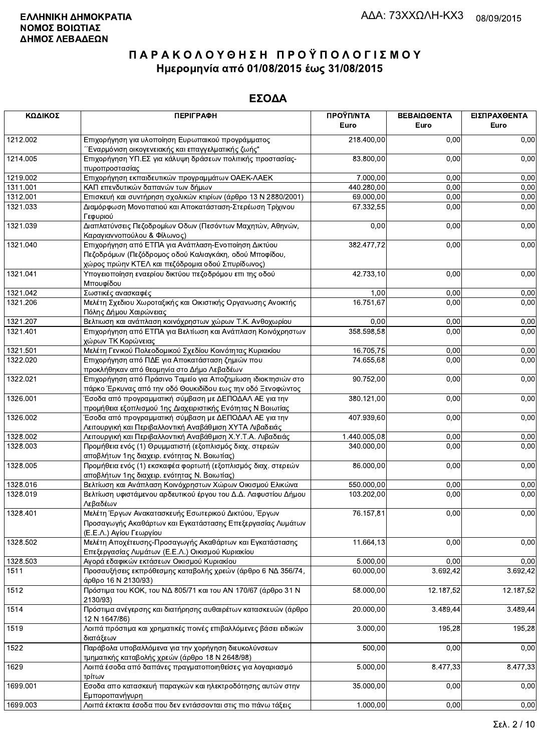| ΚΩΔΙΚΟΣ  | <b>ПЕРІГРАФН</b>                                                                                                                              | ΠΡΟΫΠ/ΝΤΑ<br>Euro | ΒΕΒΑΙΩΘΕΝΤΑ<br>Euro | ΕΙΣΠΡΑΧΘΕΝΤΑ<br>Euro |
|----------|-----------------------------------------------------------------------------------------------------------------------------------------------|-------------------|---------------------|----------------------|
| 1212.002 | Επιχορήγηση για υλοποίηση Ευρωπαικού προγράμματος<br>Έναρμόνιση οικογενειακής και επαγγελματικής ζωής"                                        | 218.400,00        | 0,00                | 0,00                 |
| 1214.005 | Επιχορήγηση ΥΠ.ΕΣ για κάλυψη δράσεων πολιτικής προστασίας-<br>πυροπροστασίας                                                                  | 83.800,00         | 0,00                | 0,00                 |
| 1219.002 | Επιχορήγηση εκπαιδευτικών προγραμμάτων ΟΑΕΚ-ΛΑΕΚ                                                                                              | 7.000,00          | 0,00                | 0,00                 |
| 1311.001 | ΚΑΠ επενδυτικών δαπανών των δήμων                                                                                                             | 440.280,00        | 0,00                | 0,00                 |
| 1312.001 | Επισκευή και συντήρηση σχολικών κτιρίων (άρθρο 13 Ν 2880/2001)                                                                                | 69.000,00         | 0,00                | 0,00                 |
| 1321.033 | Διαμόρφωση Μονοπατιού και Αποκατάσταση-Στερέωση Τρίχινου<br>Γεφυριού                                                                          | 67.332,55         | 0,00                | 0,00                 |
| 1321.039 | Διαπλατύνσεις Πεζοδρομίων Οδων (Πεσόντων Μαχητών, Αθηνών,                                                                                     | 0,00              | 0,00                | 0,00                 |
| 1321.040 | Καραγιαννοπούλου & Φίλωνος)<br>Επιχορήγηση από ΕΤΠΑ για Ανάπλαση-Ενοποίηση Δικτύου<br>Πεζοδρόμων (Πεζόδρομος οδού Καλιαγκάκη, οδού Μποφίδου,  | 382.477,72        | 0,00                | 0,00                 |
| 1321.041 | χώρος πρώην ΚΤΕΛ και πεζόδρομια οδού Σπυρίδωνος)<br>Υπογειοποίηση εναερίου δικτύου πεζοδρόμου επι της οδού                                    | 42.733,10         | 0,00                | 0,00                 |
|          | Μπουφίδου                                                                                                                                     |                   |                     |                      |
| 1321.042 | Σωστικές ανασκαφές                                                                                                                            | 1,00              | 0,00                | 0,00                 |
| 1321.206 | Μελέτη Σχεδιου Χωροταξικής και Οικιστικής Οργανωσης Ανοικτής<br>Πόλης Δήμου Χαιρώνειας                                                        | 16.751,67         | 0,00                | 0,00                 |
| 1321.207 | Βελτιωση και ανάπλαση κοινόχρηστων χώρων Τ.Κ. Ανθοχωρίου                                                                                      | 0,00              | 0,00                | 0,00                 |
| 1321.401 | Επιχορήγηση από ΕΤΠΑ για Βελτίωση και Ανάπλαση Κοινόχρηστων<br>χώρων ΤΚ Κορώνειας                                                             | 358.598,58        | 0,00                | 0,00                 |
| 1321.501 | Μελέτη Γενικού Πολεοδομικού Σχεδίου Κοινότητας Κυριακίου                                                                                      | 16.705,75         | 0,00                | 0,00                 |
| 1322.020 | Επιχορήγηση από ΠΔΕ για Αποκατάσταση ζημιών που<br>προκλήθηκαν από θεομηνία στο Δήμο Λεβαδέων                                                 | 74.655,68         | 0,00                | 0,00                 |
| 1322.021 | Επιχορήγηση από Πράσινο Ταμείο για Αποζημίωση ιδιοκτησιών στο<br>πάρκο Έρκυνας από την οδό Θουκιδίδου εως την οδό Ξενοφώντος                  | 90.752,00         | 0,00                | 0,00                 |
| 1326.001 | Έσοδα από προγραμματική σύμβαση με ΔΕΠΟΔΑΛ ΑΕ για την                                                                                         | 380.121,00        | 0,00                | 0,00                 |
| 1326.002 | προμήθεια εξοπλισμού 1ης Διαχειριστικής Ενότητας Ν Βοιωτίας<br>Έσοδα από προγραμματική σύμβαση με ΔΕΠΟΔΑΛ ΑΕ για την                          | 407.939,60        | 0,00                | 0,00                 |
| 1328.002 | Λειτουργική και Περιβαλλοντική Αναβάθμιση ΧΥΤΑ Λιβαδειάς                                                                                      | 1.440.005,08      | 0,00                | 0,00                 |
| 1328.003 | Λειτουργική και Περιβαλλοντική Αναβάθμιση Χ.Υ.Τ.Α. Λιβαδειάς<br>Προμήθεια ενός (1) Θρυμματιστή (εξοπλισμός διαχ. στερεών                      | 340.000,00        | 0,00                | 0,00                 |
| 1328.005 | αποβλήτων 1ης διαχειρ. ενότητας Ν. Βοιωτίας)<br>Προμήθεια ενός (1) εκσκαφέα φορτωτή (εξοπλισμός διαχ. στερεών                                 | 86.000,00         | 0,00                | 0,00                 |
|          | αποβλήτων 1ης διαχειρ. ενότητας Ν. Βοιωτίας)                                                                                                  |                   |                     |                      |
| 1328.016 | Βελτίωση και Ανάπλαση Κοινόχρηστων Χώρων Οικισμού Ελικώνα                                                                                     | 550.000,00        | 0,00                | 0,00                 |
| 1328.019 | Βελτίωση υφιστάμενου αρδευτικού έργου του Δ.Δ. Λαφυστίου Δήμου<br>Λεβαδέων                                                                    | 103.202,00        | 0,00                | 0,00                 |
| 1328.401 | Μελέτη Έργων Ανακατασκευής Εσωτερικού Δικτύου, Έργων<br>Προσαγωγής Ακαθάρτων και Εγκατάστασης Επεξεργασίας Λυμάτων<br>(Ε.Ε.Λ.) Αγίου Γεωργίου | 76.157,81         | 0,00                | 0,00                 |
| 1328.502 | Μελέτη Αποχέτευσης-Προσαγωγής Ακαθάρτων και Εγκατάστασης<br>Επεξεργασίας Λυμάτων (Ε.Ε.Λ.) Οικισμού Κυριακίου                                  | 11.664,13         | 0,00                | 0,00                 |
| 1328.503 | Αγορά εδαφικών εκτάσεων Οικισμού Κυριακίου                                                                                                    | 5.000,00          | 0,00                | 0,00                 |
| 1511     | Προσαυξήσεις εκπρόθεσμης καταβολής χρεών (άρθρο 6 ΝΔ 356/74,<br>άρθρο 16 Ν 2130/93)                                                           | 60.000,00         | 3.692,42            | 3.692,42             |
| 1512     | Πρόστιμα του ΚΟΚ, του ΝΔ 805/71 και του ΑΝ 170/67 (άρθρο 31 Ν<br>2130/93)                                                                     | 58.000,00         | 12.187,52           | 12.187,52            |
| 1514     | Πρόστιμα ανέγερσης και διατήρησης αυθαιρέτων κατασκευών (άρθρο<br>12 N 1647/86)                                                               | 20.000,00         | 3.489,44            | 3.489,44             |
| 1519     | Λοιπά πρόστιμα και χρηματικές ποινές επιβαλλόμενες βάσει ειδικών<br>διατάξεων                                                                 | 3.000,00          | 195,28              | 195,28               |
| 1522     | Παράβολα υποβαλλόμενα για την χορήγηση διευκολύνσεων                                                                                          | 500,00            | 0,00                | 0,00                 |
| 1629     | τμηματικής καταβολής χρεών (άρθρο 18 Ν 2648/98)<br>Λοιπά έσοδα από δαπάνες πραγματοποιηθείσες για λογαριασμό                                  | 5.000,00          | 8.477,33            | 8.477,33             |
| 1699.001 | τρίτων<br>Εσοδα απο κατασκευή παραγκών και ηλεκτροδότησης αυτών στην                                                                          | 35.000,00         | 0,00                | 0,00                 |
| 1699.003 | Εμποροπανήγυρη<br>Λοιπά έκτακτα έσοδα που δεν εντάσσονται στις πιο πάνω τάξεις                                                                | 1.000,00          | 0,00                | 0,00                 |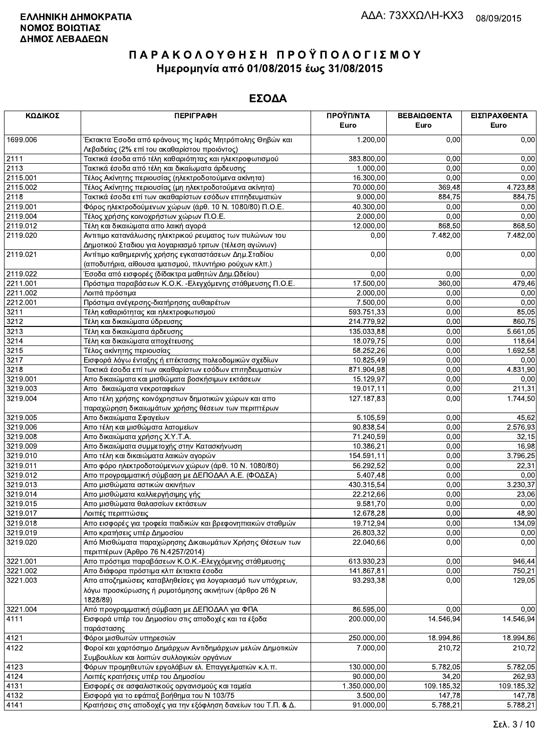| ΚΩΔΙΚΟΣ  | <b>ПЕРІГРАФН</b>                                               | ΠΡΟΫΠ/ΝΤΑ<br>Euro       | ΒΕΒΑΙΩΘΕΝΤΑ<br>Euro | ΕΙΣΠΡΑΧΘΕΝΤΑ<br>Euro |
|----------|----------------------------------------------------------------|-------------------------|---------------------|----------------------|
| 1699.006 | Έκτακτα Έσοδα από εράνους της Ιεράς Μητρόπολης Θηβών και       | 1.200,00                | 0,00                | 0,00                 |
|          | Λεβαδείας (2% επί του ακαθαρίστου προιόντος)                   |                         |                     |                      |
| 2111     | Τακτικά έσοδα από τέλη καθαριότητας και ηλεκτροφωτισμού        | 383.800,00              | 0,00                | 0,00                 |
| 2113     | Τακτικά έσοδα από τέλη και δικαίωματα άρδευσης                 | 1.000,00                | 0,00                | 0,00                 |
| 2115.001 | Τέλος Ακίνητης περιουσίας (ηλεκτροδοτούμενα ακίνητα)           | 16.300,00               | 0,00                | 0,00                 |
| 2115.002 | Τέλος Ακίνητης περιουσίας (μη ηλεκτροδοτούμενα ακίνητα)        | 70.000,00               | 369,48              | 4.723,88             |
| 2118     | Τακτικά έσοδα επί των ακαθαρίστων εσόδων επιτηδευματιών        | 9.000,00                | 884,75              | 884,75               |
| 2119.001 | Φόρος ηλεκτροδούμενων χώρων (άρθ. 10 Ν. 1080/80) Π.Ο.Ε.        | 40.300,00               | 0,00                | 0,00                 |
| 2119.004 | Τέλος χρήσης κοινοχρήστων χώρων Π.Ο.Ε.                         | 2.000,00                | 0,00                | 0,00                 |
| 2119.012 | Τέλη και δικαιώματα απο λαική αγορά                            | 12.000,00               | 868,50              | 868,50               |
| 2119.020 | Αντιτιμο κατανάλωσης ηλεκτρικού ρευματος των πυλώνων του       | 0,00                    | 7.482,00            | 7.482,00             |
|          | Δημοτικού Σταδιου για λογαριασμό τριτων (τέλεση αγώνων)        |                         |                     |                      |
| 2119.021 | Αντίτιμο καθημερινής χρήσης εγκαταστάσεων Δημ. Σταδίου         | 0,00                    | 0,00                | 0,00                 |
|          | (αποδυτήρια, αίθουσα ιματισμού, πλυντήριο ρούχων κλπ.)         |                         |                     |                      |
| 2119.022 | Έσοδα από εισφορές (δίδακτρα μαθητών Δημ.Ωδείου)               | 0,00                    | 0,00                | 0,00                 |
| 2211.001 | Πρόστιμα παραβάσεων Κ.Ο.Κ. - Ελεγχόμενης στάθμευσης Π.Ο.Ε.     | $\overline{17}$ .500,00 | 360,00              | 479,46               |
| 2211.002 | Λοιπά πρόστιμα                                                 | 2.000.00                | 0,00                | 0,00                 |
| 2212.001 | Πρόστιμα ανέγερσης-διατήρησης αυθαιρέτων                       | 7.500,00                | 0,00                | 0,00                 |
| 3211     | Τέλη καθαριότητας και ηλεκτροφωτισμού                          | 593.751,33              | 0,00                | 85,05                |
| 3212     | Τέλη και δικαιώματα ύδρευσης                                   | 214.779,92              | 0,00                | 860,75               |
| 3213     | Τέλη και δικαιώματα άρδευσης                                   | 135.033.88              | 0,00                | 5.661,05             |
| 3214     | Τέλη και δικαιώματα αποχέτευσης                                | 18.079,75               | 0,00                | 118,64               |
| 3215     | Τέλος ακίνητης περιουσίας                                      | 58.252,26               | 0,00                | 1.692,58             |
| 3217     | Εισφορά λόγω ένταξης ή επέκτασης πολεοδομικών σχεδίων          | 10.825,49               | 0,00                | 0,00                 |
| 3218     | Τακτικά έσοδα επί των ακαθαρίστων εσόδων επιτηδευματιών        | 871.904,98              | 0,00                | 4.831,90             |
| 3219.001 | Απο δικαιώματα και μισθώματα βοσκήσιμων εκτάσεων               | 15.129,97               | 0,00                | 0,00                 |
| 3219.003 | Απο δικαιώματα νεκροταφείων                                    | 19.017,11               | 0,00                | 211,31               |
| 3219.004 | Απο τέλη χρήσης κοινόχρηστων δημοτικών χώρων και απο           | 127.187,83              | 0,00                | 1.744,50             |
|          | παραχώρηση δικαιωμάτων χρήσης θέσεων των περιπτέρων            |                         |                     |                      |
| 3219.005 | Απο δικαιώματα Σφαγείων                                        | 5.105,59                | 0,00                | 45,62                |
| 3219.006 | Απο τέλη και μισθώματα λατομείων                               | 90.838,54               | 0,00                | 2.576,93             |
| 3219.008 | Απο δικαιώματα χρήσης Χ.Υ.Τ.Α.                                 | 71.240,59               | 0,00                | 32,15                |
| 3219.009 | Απο δικαιώματα συμμετοχής στην Κατασκήνωση                     | 10.386,21               | 0,00                | 16,98                |
| 3219.010 | Απο τέλη και δικαιώματα λαικών αγορών                          | 154.591,11              | 0,00                | 3.796,25             |
| 3219.011 | Απο φόρο ηλεκτροδοτούμενων χώρων (άρθ. 10 Ν. 1080/80)          | 56.292,52               | 0,00                | 22,31                |
| 3219.012 | Απο προγραμματική σύμβαση με ΔΕΠΟΔΑΛ Α.Ε. (ΦΟΔΣΑ)              | 5.407,48                | 0,00                | 0,00                 |
| 3219.013 | Απο μισθώματα αστικών ακινήτων                                 | 430.315,54              | 0,00                | 3.230,37             |
| 3219.014 | Απο μισθώματα καλλιεργήσιμης γής                               | 22.212,66               | 0,00                | 23,06                |
| 3219.015 | Απο μισθώματα θαλασσίων εκτάσεων                               | 9.581,70                | 0,00                | 0,00                 |
| 3219.017 | Λοιπές περιπτώσεις                                             | 12.678,28               | 0,00                | 48,90                |
| 3219.018 | Απο εισφορές για τροφεία παιδικών και βρεφονηπιακών σταθμών    | 19.712,94               | 0,00                | 134,09               |
| 3219.019 | Απο κρατήσεις υπέρ Δημοσίου                                    | 26.803,32               | 0,00                | 0,00                 |
| 3219.020 | Από Μισθώματα παραχώρησης Δικαιωμάτων Χρήσης Θέσεων των        | 22.040,66               | 0,00                | 0,00                 |
|          | περιπτέρων (Άρθρο 76 Ν.4257/2014)                              |                         |                     |                      |
| 3221.001 | Απο πρόστιμα παραβάσεων Κ.Ο.Κ.-Ελεγχόμενης στάθμευσης          | 613.930.23              | 0,00                | 946,44               |
| 3221.002 | Απο διάφορα πρόστιμα κλπ έκτακτα έσοδα                         | 141.867.81              | 0,00                | 750,21               |
| 3221.003 | Απο αποζημιώσεις καταβληθείσες για λογαριασμό των υπόχρεων,    | 93.293,38               | 0,00                | 129,05               |
|          | λόγω προσκύρωσης ή ρυμοτόμησης ακινήτων (άρθρο 26 Ν            |                         |                     |                      |
|          | 1828/89)                                                       |                         |                     |                      |
| 3221.004 | Από προγραμματική σύμβαση με ΔΕΠΟΔΑΛ για ΦΠΑ                   | 86.595,00               | 0,00                | 0,00                 |
| 4111     | Εισφορά υπέρ του Δημοσίου στις αποδοχές και τα έξοδα           | 200.000,00              | 14.546,94           | 14.546,94            |
|          | παράστασης                                                     |                         |                     |                      |
| 4121     | Φόροι μισθωτών υπηρεσιών                                       | 250.000,00              | 18.994,86           | 18.994,86            |
| 4122     | Φοροί και χαρτόσημο Δημάρχων Αντιδημάρχων μελών Δημοτικών      | 7.000,00                | 210,72              | 210,72               |
|          | Συμβουλίων και λοιπών συλλογικών οργάνων                       |                         |                     |                      |
| 4123     | Φόρων προμηθευτών εργολάβων ελ. Επαγγελματιών κ.λ.π.           | 130.000,00              | 5.782,05            | 5.782,05             |
| 4124     | Λοιπές κρατήσεις υπέρ του Δημοσίου                             | 90.000,00               | 34,20               | 262,93               |
| 4131     | Εισφορές σε ασφαλιστικούς οργανισμούς και ταμεία               | 1.350.000,00            | 109.185,32          | 109.185,32           |
| 4132     | Εισφορά για το εφάπαξ βοήθημα του Ν 103/75                     | 3.500,00                | 147,78              | 147,78               |
| 4141     | Κρατήσεις στις αποδοχές για την εξόφληση δανείων του Τ.Π. & Δ. | 91.000,00               | 5.788,21            | 5.788,21             |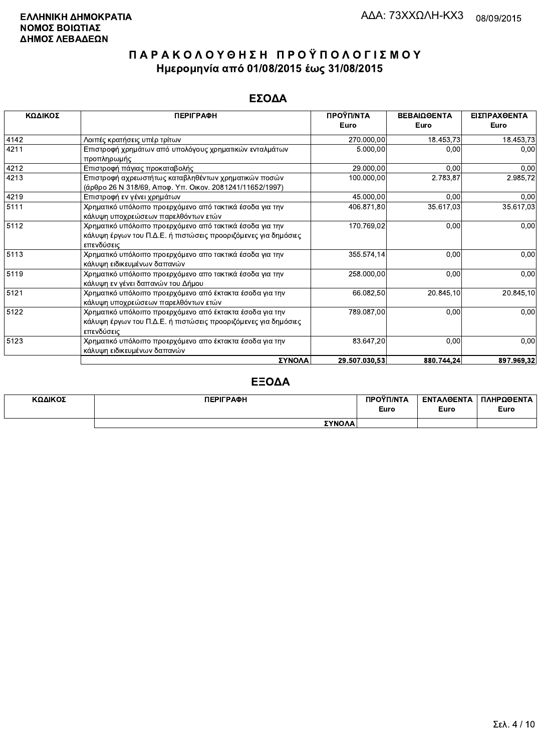### ΕΣΟΔΑ

| ΚΩΔΙΚΟΣ | <b>ПЕРІГРАФН</b>                                                                                                                         | ΠΡΟΫΠ/ΝΤΑ     | ΒΕΒΑΙΩΘΕΝΤΑ | ΕΙΣΠΡΑΧΘΕΝΤΑ |
|---------|------------------------------------------------------------------------------------------------------------------------------------------|---------------|-------------|--------------|
|         |                                                                                                                                          | Euro          | Euro        | Euro         |
| 4142    | Λοιπές κρατήσεις υπέρ τρίτων                                                                                                             | 270.000,00    | 18.453,73   | 18.453,73    |
| 4211    | Επιστροφή χρημάτων από υπολόγους χρηματικών ενταλμάτων                                                                                   | 5.000,00      | 0,00        | 0,00         |
| 4212    | προπληρωμής<br>Επιστροφή πάγιας προκαταβολής                                                                                             | 29.000,00     | 0.00        | 0,00         |
| 4213    | Επιστροφή αχρεωστήτως καταβληθέντων χρηματικών ποσών<br>(άρθρο 26 Ν 318/69, Αποφ. Υπ. Οικον. 2081241/11652/1997)                         | 100.000,00    | 2.783,87    | 2.985,72     |
| 4219    | Επιστροφή εν γένει χρημάτων                                                                                                              | 45.000,00     | 0.00        | 0,00         |
| 5111    | Χρηματικό υπόλοιπο προερχόμενο από τακτικά έσοδα για την<br>κάλυψη υποχρεώσεων παρελθόντων ετών                                          | 406.871,80    | 35.617,03   | 35.617,03    |
| 5112    | Χρηματικό υπόλοιπο προερχόμενο από τακτικά έσοδα για την<br>κάλυψη έργων του Π.Δ.Ε. ή πιστώσεις προοριζόμενες για δημόσιες<br>επενδύσεις | 170.769,02    | 0,00        | 0,00         |
| 5113    | Χρηματικό υπόλοιπο προερχόμενο απο τακτικά έσοδα για την<br>κάλυψη ειδικευμένων δαπανών                                                  | 355.574,14    | 0,00        | 0,00         |
| 5119    | Χρηματικό υπόλοιπο προερχόμενο απο τακτικά έσοδα για την<br>κάλυψη εν γένει δαπανών του Δήμου                                            | 258.000,00    | 0,00        | 0,00         |
| 5121    | Χρηματικό υπόλοιπο προερχόμενο από έκτακτα έσοδα για την<br>κάλυψη υποχρεώσεων παρελθόντων ετών                                          | 66.082,50     | 20.845,10   | 20.845,10    |
| 5122    | Χρηματικό υπόλοιπο προερχόμενο από έκτακτα έσοδα για την<br>κάλυψη έργων του Π.Δ.Ε. ή πιστώσεις προοριζόμενες για δημόσιες<br>επενδύσεις | 789.087,00    | 0,00        | 0,00         |
| 5123    | Χρηματικό υπόλοιπο προερχόμενο απο έκτακτα έσοδα για την<br>κάλυψη ειδικευμένων δαπανών                                                  | 83.647,20     | 0,00        | 0,00         |
|         | ΣΥΝΟΛΑ                                                                                                                                   | 29.507.030,53 | 880.744,24  | 897.969,32   |

### ΕΞΟΔΑ

| ΚΩΔΙΚΟΣ | <b>ПЕРІГРАФН</b> | ΠΡΟΥΠ/ΝΤΑ<br>Euro | <b>ENTAA@ENTA</b><br>Euro | ΠΛΗΡΩΘΕΝΤΑ<br>Euro |
|---------|------------------|-------------------|---------------------------|--------------------|
|         | ΣΥΝΟΛΑ           |                   |                           |                    |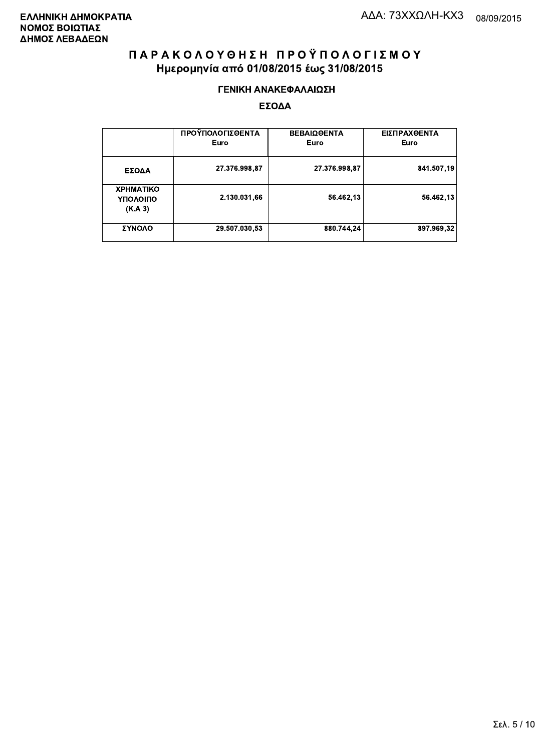#### ΓΕΝΙΚΗ ΑΝΑΚΕΦΑΛΑΙΩΣΗ

|                                         | ΠΡΟΫΠΟΛΟΓΙΣΘΕΝΤΑ<br>Euro | <b>ΒΕΒΑΙΩΘΕΝΤΑ</b><br>Euro | ΕΙΣΠΡΑΧΘΕΝΤΑ<br>Euro |
|-----------------------------------------|--------------------------|----------------------------|----------------------|
| ΕΣΟΔΑ                                   | 27.376.998,87            | 27.376.998,87              | 841.507,19           |
| <b>XPHMATIKO</b><br>ΥΠΟΛΟΙΠΟ<br>(K.A.3) | 2.130.031,66             | 56.462,13                  | 56.462,13            |
| ΣΥΝΟΛΟ                                  | 29.507.030,53            | 880.744,24                 | 897.969.32           |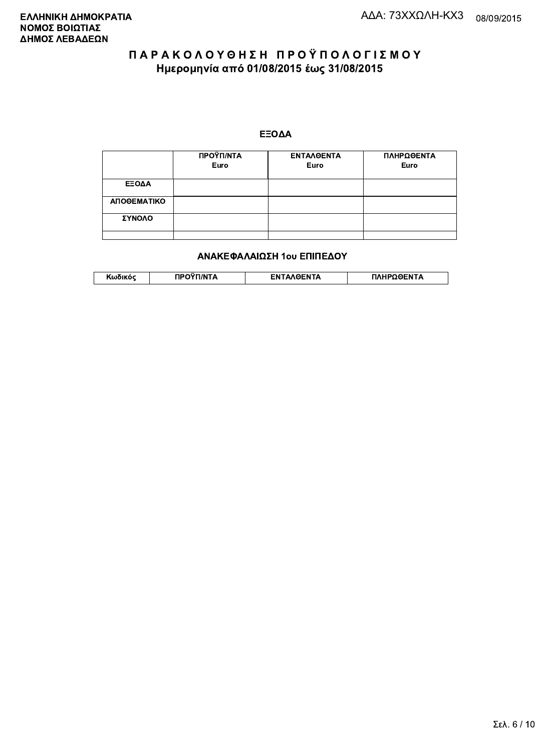#### ΕΞΟΔΑ

|             | ΠΡΟΫΠ/ΝΤΑ<br>Euro | <b>ENTAAOENTA</b><br>Euro | ΠΛΗΡΩΘΕΝΤΑ<br>Euro |
|-------------|-------------------|---------------------------|--------------------|
| ΕΞΟΔΑ       |                   |                           |                    |
| ΑΠΟΘΕΜΑΤΙΚΟ |                   |                           |                    |
| ΣΥΝΟΛΟ      |                   |                           |                    |
|             |                   |                           |                    |

#### ΑΝΑΚΕΦΑΛΑΙΩΣΗ 1ου ΕΠΙΠΕΔΟΥ

| worku | $^{\circ}$ רי $^{\circ}$ רי $\mathsf{A}$ | <b>ENTAAGENTA</b> | <b>ΠΛΗΡΩΘΕΝΤΑ</b> |
|-------|------------------------------------------|-------------------|-------------------|
|       |                                          |                   |                   |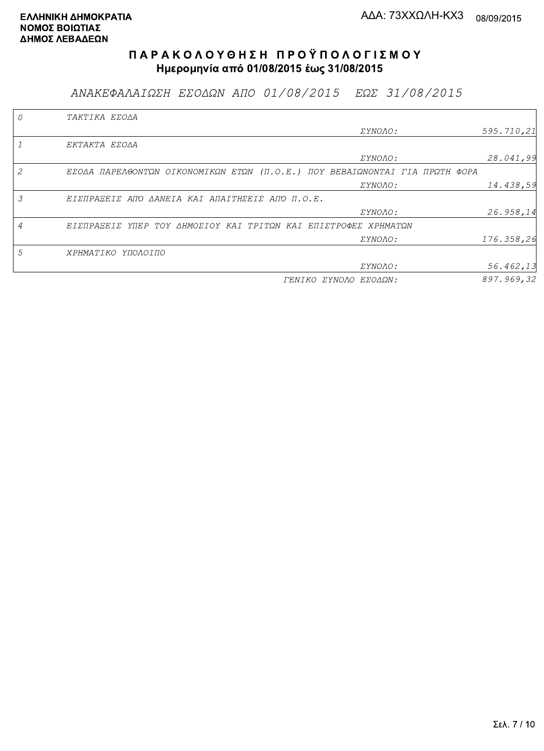ΑΝΑΚΕΦΑΛΑΙΩΣΗ ΕΣΟΔΩΝ ΑΠΟ 01/08/2015 ΕΩΣ 31/08/2015

|   | TAKTIKA EZOAA                                                               |            |
|---|-----------------------------------------------------------------------------|------------|
|   | <i>EYNOAO:</i>                                                              | 595.710,21 |
|   | EKTAKTA EZOAA                                                               |            |
|   | ΣΥΝΟΛΟ:                                                                     | 28.041,99  |
|   | EZOAA ΠΑΡΕΛΘΟΝΤΩΝ ΟΙΚΟΝΟΜΙΚΩΝ ΕΤΩΝ (Π.Ο.Ε.) ΠΟΥ ΒΕΒΑΙΩΝΟΝΤΑΙ ΓΙΑ ΠΡΩΤΗ ΦΟΡΑ |            |
|   | <i>EYNOAO:</i>                                                              | 14.438,59  |
| 3 | ΕΙΣΠΡΑΞΕΙΣ ΑΠΌ ΔΑΝΕΙΑ ΚΑΙ ΑΠΑΙΤΗΣΕΙΣ ΑΠΌ Π.Ο.Ε.                             |            |
|   | <i>EYNOAO:</i>                                                              | 26.958,14  |
| 4 | ΕΙΣΠΡΑΞΕΙΣ ΥΠΕΡ ΤΟΥ ΔΗΜΟΣΙΟΥ ΚΑΙ ΤΡΙΤΩΝ ΚΑΙ ΕΠΙΣΤΡΟΦΕΣ ΧΡΗΜΑΤΩΝ             |            |
|   | <i>EYNOAO:</i>                                                              | 176.358,26 |
| 5 | ΧΡΗΜΑΤΙΚΟ ΥΠΟΛΟΙΠΟ                                                          |            |
|   | ΣΥΝΟΛΟ:                                                                     | 56.462,13  |
|   | ΓΕΝΙΚΟ ΣΥΝΟΛΟ ΕΣΟΔΩΝ:                                                       | 897.969,32 |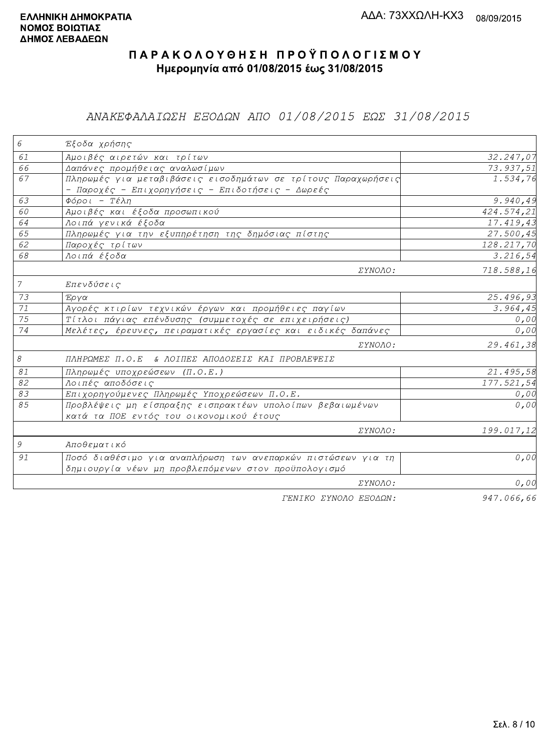### ΑΝΑΚΕΦΑΛΑΙΩΣΗ ΕΞΟΔΩΝ ΑΠΟ 01/08/2015 ΕΩΣ 31/08/2015

| 6               | Έξοδα χρήσης                                                  |            |
|-----------------|---------------------------------------------------------------|------------|
| 61              | Αμοιβές αιρετών και τρίτων                                    | 32.247,07  |
| 66              | Δαπάνες προμήθειας αναλωσίμων                                 | 73.937,51  |
| 67              | Πληρωμές για μεταβιβάσεις εισοδημάτων σε τρίτους Παραχωρήσεις | 1.534,76   |
|                 | - Παροχές - Επιχορηγήσεις - Επιδοτήσεις - Δωρεές              |            |
| 63              | Φόροι - Τέλη                                                  | 9.940,49   |
| 60              | Αμοιβές και έξοδα προσωπικού                                  | 424.574,21 |
| 64              | Λοιπά γενικά έξοδα                                            | 17.419,43  |
| 65              | Πληρωμές για την εξυπηρέτηση της δημόσιας πίστης              | 27.500,45  |
| 62              | Παροχές τρίτων                                                | 128.217,70 |
| 68              | Λοιπά έξοδα                                                   | 3.216, 54  |
|                 | ΣΥΝΟΛΟ:                                                       | 718.588,16 |
| $7\overline{ }$ | Επενδύσεις                                                    |            |
| 73              | Έργα                                                          | 25.496,93  |
| 71              | Αγορές κτιρίων τεχνικών έργων και προμήθειες παγίων           | 3.964, 45  |
| 75              | Τίτλοι πάγιας επένδυσης (συμμετοχές σε επιχειρήσεις)          | 0,00       |
| 74              | Μελέτες, έρευνες, πειραματικές εργασίες και ειδικές δαπάνες   | 0,00       |
|                 | ΣΥΝΟΛΟ:                                                       | 29.461,38  |
| $\mathcal S$    | ΠΛΗΡΩΜΕΣ Π.Ο.Ε & ΛΟΙΠΕΣ ΑΠΟΔΟΣΕΙΣ ΚΑΙ ΠΡΟΒΛΕΨΕΙΣ              |            |
| 81              | Πληρωμές υποχρεώσεων (Π.Ο.Ε.)                                 | 21.495,58  |
| 82              | Λοιπές αποδόσεις                                              | 177.521,54 |
| 83              | Επιχορηγούμενες Πληρωμές Υποχρεώσεων Π.Ο.Ε.                   | 0,00       |
| 85              | Προβλέψεις μη είσπραξης εισπρακτέων υπολοίπων βεβαιωμένων     | 0,00       |
|                 | κατά τα ΠΟΕ εντός του οικονομικού έτους                       |            |
|                 | ΣΥΝΟΛΟ:                                                       | 199.017,12 |
| 9               | Αποθεματικό                                                   |            |
| 91              | Ποσό διαθέσιμο για αναπλήρωση των ανεπαρκών πιστώσεων για τη  | 0,00       |
|                 | δημιουργία νέων μη προβλεπόμενων στον προϋπολογισμό           |            |
|                 | ΣΥΝΟΛΟ:                                                       | 0,00       |
|                 | FENIKO XYNOJO ETOJON.                                         | 947,066,66 |

I'ENIKO ZYNOAO EEOAQN:

947.066,66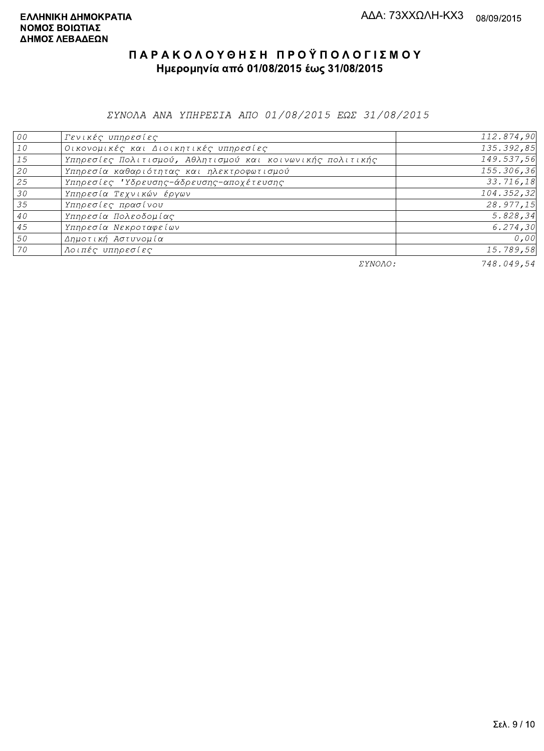ΣΥΝΟΛΑ ΑΝΑ ΥΠΗΡΕΣΙΑ ΑΠΟ 01/08/2015 ΕΩΣ 31/08/2015

| 00 | Γενικές υπηρεσίες                                         | 112.874,90 |
|----|-----------------------------------------------------------|------------|
| 10 | Οικονομικές και Διοικητικές υπηρεσίες                     | 135.392,85 |
| 15 | Υπηρεσίες Πολιτισμού, Αθλητισμού και κοινωνικής πολιτικής | 149.537,56 |
| 20 | Υπηρεσία καθαριότητας και ηλεκτροφωτισμού                 | 155.306,36 |
| 25 | Υπηρεσίες 'Υδρευσης-άδρευσης-αποχέτευσης                  | 33.716,18  |
| 30 | Υπηρεσία Τεχνικών έργων                                   | 104.352,32 |
| 35 | Υπηρεσίες πρασίνου                                        | 28.977,15  |
| 40 | Υπηρεσία Πολεοδομίας                                      | 5.828,34   |
| 45 | Υπηρεσία Νεκροταφείων                                     | 6.274, 30  |
| 50 | Δημοτική Αστυνομία                                        | 0,00       |
| 70 | Λοιπές υπηρεσίες                                          | 15.789,58  |
|    | ΣΥΝΟΛΟ:                                                   | 748.049,54 |